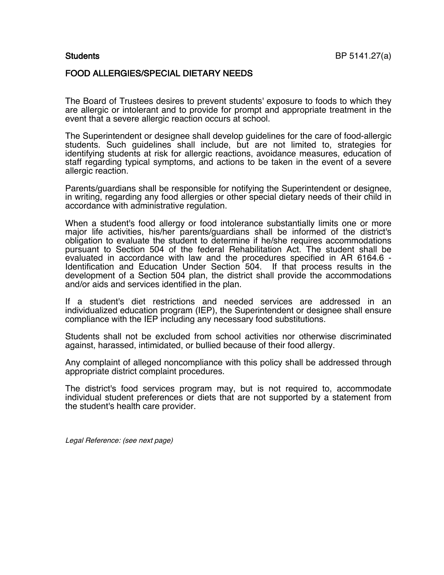## FOOD ALLERGIES/SPECIAL DIETARY NEEDS

The Board of Trustees desires to prevent students' exposure to foods to which they are allergic or intolerant and to provide for prompt and appropriate treatment in the event that a severe allergic reaction occurs at school.

The Superintendent or designee shall develop guidelines for the care of food-allergic students. Such guidelines shall include, but are not limited to, strategies for identifying students at risk for allergic reactions, avoidance measures, education of staff regarding typical symptoms, and actions to be taken in the event of a severe allergic reaction.

Parents/guardians shall be responsible for notifying the Superintendent or designee, in writing, regarding any food allergies or other special dietary needs of their child in accordance with administrative regulation.

When a student's food allergy or food intolerance substantially limits one or more major life activities, his/her parents/guardians shall be informed of the district's obligation to evaluate the student to determine if he/she requires accommodations pursuant to Section 504 of the federal Rehabilitation Act. The student shall be evaluated in accordance with law and the procedures specified in AR 6164.6 ldentification and Education Under Section 504. If that process results in the development of a Section 504 plan, the district shall provide the accommodations and/or aids and services identified in the plan.

If a student's diet restrictions and needed services are addressed in an individualized education program (IEP), the Superintendent or designee shall ensure compliance with the IEP including any necessary food substitutions.

Students shall not be excluded from school activities nor otherwise discriminated against, harassed, intimidated, or bullied because of their food allergy.

Any complaint of alleged noncompliance with this policy shall be addressed through appropriate district complaint procedures.

The district's food services program may, but is not required to, accommodate individual student preferences or diets that are not supported by a statement from the student's health care provider.

Legal Reference: (see next page)